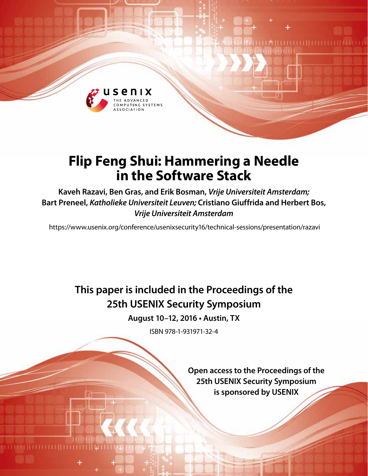

# **Flip Feng Shui: Hammering a Needle in the Software Stack**

**Kaveh Razavi, Ben Gras, and Erik Bosman,** *Vrije Universiteit Amsterdam;*  **Bart Preneel,** *Katholieke Universiteit Leuven;* **Cristiano Giuffrida and Herbert Bos,**  *Vrije Universiteit Amsterdam*

https://www.usenix.org/conference/usenixsecurity16/technical-sessions/presentation/razavi

**This paper is included in the Proceedings of the 25th USENIX Security Symposium**

**August 10–12, 2016 • Austin, TX**

ISBN 978-1-931971-32-4

**Open access to the Proceedings of the 25th USENIX Security Symposium is sponsored by USENIX**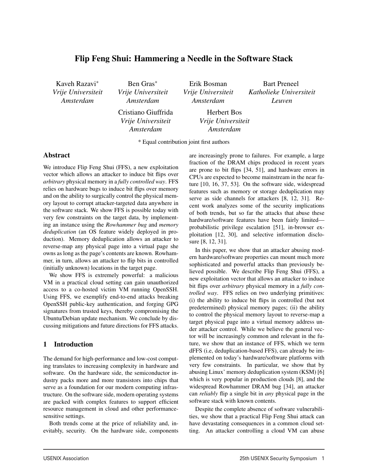# Flip Feng Shui: Hammering a Needle in the Software Stack

Kaveh Razavi∗ *Vrije Universiteit Amsterdam*

Ben Gras∗ *Vrije Universiteit Amsterdam*

Erik Bosman *Vrije Universiteit Amsterdam*

Bart Preneel *Katholieke Universiteit Leuven*

Cristiano Giuffrida *Vrije Universiteit Amsterdam*

Herbert Bos *Vrije Universiteit Amsterdam*

\* Equal contribution joint first authors

## Abstract

We introduce Flip Feng Shui (FFS), a new exploitation vector which allows an attacker to induce bit flips over *arbitrary* physical memory in a *fully controlled way*. FFS relies on hardware bugs to induce bit flips over memory and on the ability to surgically control the physical memory layout to corrupt attacker-targeted data anywhere in the software stack. We show FFS is possible today with very few constraints on the target data, by implementing an instance using the *Rowhammer bug* and *memory deduplication* (an OS feature widely deployed in production). Memory deduplication allows an attacker to reverse-map any physical page into a virtual page she owns as long as the page's contents are known. Rowhammer, in turn, allows an attacker to flip bits in controlled (initially unknown) locations in the target page.

We show FFS is extremely powerful: a malicious VM in a practical cloud setting can gain unauthorized access to a co-hosted victim VM running OpenSSH. Using FFS, we exemplify end-to-end attacks breaking OpenSSH public-key authentication, and forging GPG signatures from trusted keys, thereby compromising the Ubuntu/Debian update mechanism. We conclude by discussing mitigations and future directions for FFS attacks.

# 1 Introduction

The demand for high-performance and low-cost computing translates to increasing complexity in hardware and software. On the hardware side, the semiconductor industry packs more and more transistors into chips that serve as a foundation for our modern computing infrastructure. On the software side, modern operating systems are packed with complex features to support efficient resource management in cloud and other performancesensitive settings.

Both trends come at the price of reliability and, inevitably, security. On the hardware side, components are increasingly prone to failures. For example, a large fraction of the DRAM chips produced in recent years are prone to bit flips [34, 51], and hardware errors in CPUs are expected to become mainstream in the near future [10, 16, 37, 53]. On the software side, widespread features such as memory or storage deduplication may serve as side channels for attackers [8, 12, 31]. Recent work analyzes some of the security implications of both trends, but so far the attacks that abuse these hardware/software features have been fairly limited probabilistic privilege escalation [51], in-browser exploitation [12, 30], and selective information disclosure [8, 12, 31].

In this paper, we show that an attacker abusing modern hardware/software properties can mount much more sophisticated and powerful attacks than previously believed possible. We describe Flip Feng Shui (FFS), a new exploitation vector that allows an attacker to induce bit flips over *arbitrary* physical memory in a *fully controlled way*. FFS relies on two underlying primitives: (i) the ability to induce bit flips in controlled (but not predetermined) physical memory pages; (ii) the ability to control the physical memory layout to reverse-map a target physical page into a virtual memory address under attacker control. While we believe the general vector will be increasingly common and relevant in the future, we show that an instance of FFS, which we term dFFS (i.e, deduplication-based FFS), can already be implemented on today's hardware/software platforms with very few constraints. In particular, we show that by abusing Linux' memory deduplication system (KSM) [6] which is very popular in production clouds [8], and the widespread Rowhammer DRAM bug [34], an attacker can *reliably* flip a single bit in *any* physical page in the software stack with known contents.

Despite the complete absence of software vulnerabilities, we show that a practical Flip Feng Shui attack can have devastating consequences in a common cloud setting. An attacker controlling a cloud VM can abuse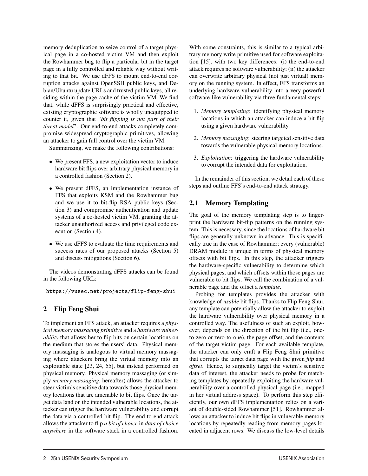memory deduplication to seize control of a target physical page in a co-hosted victim VM and then exploit the Rowhammer bug to flip a particular bit in the target page in a fully controlled and reliable way without writing to that bit. We use dFFS to mount end-to-end corruption attacks against OpenSSH public keys, and Debian/Ubuntu update URLs and trusted public keys, all residing within the page cache of the victim VM. We find that, while dFFS is surprisingly practical and effective, existing cryptographic software is wholly unequipped to counter it, given that "*bit flipping is not part of their threat model*". Our end-to-end attacks completely compromise widespread cryptographic primitives, allowing an attacker to gain full control over the victim VM.

Summarizing, we make the following contributions:

- We present FFS, a new exploitation vector to induce hardware bit flips over arbitrary physical memory in a controlled fashion (Section 2).
- We present dFFS, an implementation instance of FFS that exploits KSM and the Rowhammer bug and we use it to bit-flip RSA public keys (Section 3) and compromise authentication and update systems of a co-hosted victim VM, granting the attacker unauthorized access and privileged code execution (Section 4).
- We use dFFS to evaluate the time requirements and success rates of our proposed attacks (Section 5) and discuss mitigations (Section 6).

The videos demonstrating dFFS attacks can be found in the following URL:

https://vusec.net/projects/flip-feng-shui

# 2 Flip Feng Shui

To implement an FFS attack, an attacker requires a *physical memory massaging primitive* and a *hardware vulnerability* that allows her to flip bits on certain locations on the medium that stores the users' data. Physical memory massaging is analogous to virtual memory massaging where attackers bring the virtual memory into an exploitable state [23, 24, 55], but instead performed on physical memory. Physical memory massaging (or simply *memory massaging*, hereafter) allows the attacker to steer victim's sensitive data towards those physical memory locations that are amenable to bit flips. Once the target data land on the intended vulnerable locations, the attacker can trigger the hardware vulnerability and corrupt the data via a controlled bit flip. The end-to-end attack allows the attacker to flip *a bit of choice* in *data of choice anywhere* in the software stack in a controlled fashion.

2

With some constraints, this is similar to a typical arbitrary memory write primitive used for software exploitation [15], with two key differences: (i) the end-to-end attack requires no software vulnerability; (ii) the attacker can overwrite arbitrary physical (not just virtual) memory on the running system. In effect, FFS transforms an underlying hardware vulnerability into a very powerful software-like vulnerability via three fundamental steps:

- 1. *Memory templating*: identifying physical memory locations in which an attacker can induce a bit flip using a given hardware vulnerability.
- 2. *Memory massaging*: steering targeted sensitive data towards the vulnerable physical memory locations.
- 3. *Exploitation*: triggering the hardware vulnerability to corrupt the intended data for exploitation.

In the remainder of this section, we detail each of these steps and outline FFS's end-to-end attack strategy.

# 2.1 Memory Templating

The goal of the memory templating step is to fingerprint the hardware bit-flip patterns on the running system. This is necessary, since the locations of hardware bit flips are generally unknown in advance. This is specifically true in the case of Rowhammer; every (vulnerable) DRAM module is unique in terms of physical memory offsets with bit flips. In this step, the attacker triggers the hardware-specific vulnerability to determine which physical pages, and which offsets within those pages are vulnerable to bit flips. We call the combination of a vulnerable page and the offset a *template*.

Probing for templates provides the attacker with knowledge of *usable* bit flips. Thanks to Flip Feng Shui, any template can potentially allow the attacker to exploit the hardware vulnerability over physical memory in a controlled way. The usefulness of such an exploit, however, depends on the direction of the bit flip (i.e., oneto-zero or zero-to-one), the page offset, and the contents of the target victim page. For each available template, the attacker can only craft a Flip Feng Shui primitive that corrupts the target data page with the given *flip* and *offset*. Hence, to surgically target the victim's sensitive data of interest, the attacker needs to probe for matching templates by repeatedly exploiting the hardware vulnerability over a controlled physical page (i.e., mapped in her virtual address space). To perform this step efficiently, our own dFFS implementation relies on a variant of double-sided Rowhammer [51]. Rowhammer allows an attacker to induce bit flips in vulnerable memory locations by repeatedly reading from memory pages located in adjacent rows. We discuss the low-level details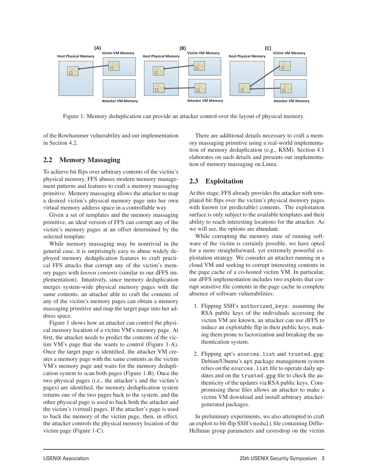

Figure 1: Memory deduplication can provide an attacker control over the layout of physical memory.

3

of the Rowhammer vulnerability and our implementation in Section 4.2.

# 2.2 Memory Massaging

To achieve bit flips over arbitrary contents of the victim's physical memory, FFS abuses modern memory management patterns and features to craft a memory massaging primitive. Memory massaging allows the attacker to map a desired victim's physical memory page into her own virtual memory address space in a controllable way.

Given a set of templates and the memory massaging primitive, an ideal version of FFS can corrupt any of the victim's memory pages at an offset determined by the selected template.

While memory massaging may be nontrivial in the general case, it is surprisingly easy to abuse widely deployed memory deduplication features to craft practical FFS attacks that corrupt any of the victim's memory pages with *known contents* (similar to our dFFS implementation). Intuitively, since memory deduplication merges system-wide physical memory pages with the same contents, an attacker able to craft the contents of any of the victim's memory pages can obtain a memory massaging primitive and map the target page into her address space.

Figure 1 shows how an attacker can control the physical memory location of a victim VM's memory page. At first, the attacker needs to predict the contents of the victim VM's page that she wants to control (Figure 1-A). Once the target page is identified, the attacker VM creates a memory page with the same contents as the victim VM's memory page and waits for the memory deduplication system to scan both pages (Figure 1-B). Once the two physical pages (i.e., the attacker's and the victim's pages) are identified, the memory deduplication system returns one of the two pages back to the system, and the other physical page is used to back both the attacker and the victim's (virtual) pages. If the attacker's page is used to back the memory of the victim page, then, in effect, the attacker controls the physical memory location of the victim page (Figure 1-C).

There are additional details necessary to craft a memory massaging primitive using a real-world implementation of memory deduplication (e.g., KSM). Section 4.1 elaborates on such details and presents our implementation of memory massaging on Linux.

# 2.3 Exploitation

At this stage, FFS already provides the attacker with templated bit flips over the victim's physical memory pages with known (or predictable) contents. The exploitation surface is only subject to the available templates and their ability to reach interesting locations for the attacker. As we will see, the options are abundant.

While corrupting the memory state of running software of the victim is certainly possible, we have opted for a more straightforward, yet extremely powerful exploitation strategy. We consider an attacker running in a cloud VM and seeking to corrupt interesting contents in the page cache of a co-hosted victim VM. In particular, our dFFS implementation includes two exploits that corrupt sensitive file contents in the page cache in complete absence of software vulnerabilities:

- 1. Flipping SSH's authorized\_keys: assuming the RSA public keys of the individuals accessing the victim VM are known, an attacker can use dFFS to induce an exploitable flip in their public keys, making them prone to factorization and breaking the authentication system.
- 2. Flipping apt's sources.list and trusted.gpg: Debian/Ubuntu's apt package management system relies on the sources.list file to operate daily updates and on the trusted.gpg file to check the authenticity of the updates via RSA public keys. Compromising these files allows an attacker to make a victim VM download and install arbitrary attackergenerated packages.

In preliminary experiments, we also attempted to craft an exploit to bit-flip SSH's moduli file containing Diffie-Hellman group parameters and eavesdrop on the victim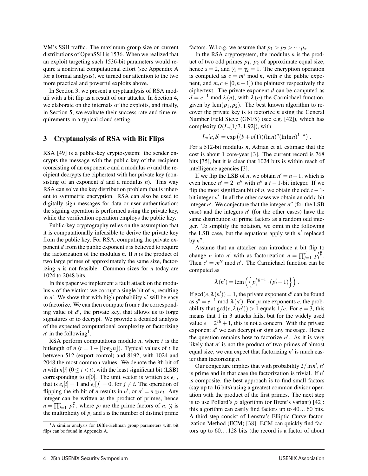VM's SSH traffic. The maximum group size on current distributions of OpenSSH is 1536. When we realized that an exploit targeting such 1536-bit parameters would require a nontrivial computational effort (see Appendix A for a formal analysis), we turned our attention to the two more practical and powerful exploits above.

In Section 3, we present a cryptanalysis of RSA moduli with a bit flip as a result of our attacks. In Section 4, we elaborate on the internals of the exploits, and finally, in Section 5, we evaluate their success rate and time requirements in a typical cloud setting.

#### 3 Cryptanalysis of RSA with Bit Flips

RSA [49] is a public-key cryptosystem: the sender encrypts the message with the public key of the recipient (consisting of an exponent *e* and a modulus *n*) and the recipient decrypts the ciphertext with her private key (consisting of an exponent *d* and a modulus *n*). This way RSA can solve the key distribution problem that is inherent to symmetric encryption. RSA can also be used to digitally sign messages for data or user authentication: the signing operation is performed using the private key, while the verification operation employs the public key.

Public-key cryptography relies on the assumption that it is computationally infeasible to derive the private key from the public key. For RSA, computing the private exponent *d* from the public exponent *e* is believed to require the factorization of the modulus *n*. If *n* is the product of two large primes of approximately the same size, factorizing *n* is not feasible. Common sizes for *n* today are 1024 to 2048 bits.

In this paper we implement a fault attack on the modulus *n* of the victim: we corrupt a single bit of *n*, resulting in  $n'$ . We show that with high probability  $n'$  will be easy to factorize. We can then compute from *e* the corresponding value of *d* , the private key, that allows us to forge signatures or to decrypt. We provide a detailed analysis of the expected computational complexity of factorizing  $n'$  in the following<sup>1</sup>.

RSA perform computations modulo *n*, where *t* is the bitlength of  $n(t = 1 + |\log_2 n|)$ . Typical values of t lie between 512 (export control) and 8192, with 1024 and 2048 the most common values. We denote the *i*th bit of *n* with *n*[*i*] ( $0 \le i < t$ ), with the least significant bit (LSB) corresponding to  $n[0]$ . The unit vector is written as  $e_i$ , that is  $e_i[i] = 1$  and  $e_i[j] = 0$ , for  $j \neq i$ . The operation of flipping the *i*th bit of *n* results in *n'*, or  $n' = n \oplus e_i$ . Any integer can be written as the product of primes, hence  $n = \prod_{j=1}^{s} p_i^{\gamma_i}$ , where  $p_i$  are the prime factors of *n*,  $\gamma_i$  is the multiplicity of  $p_i$  and  $s$  is the number of distinct prime

4

factors. W.l.o.g. we assume that  $p_1 > p_2 > \cdots p_s$ .

In the RSA cryptosystem, the modulus *n* is the product of two odd primes *p*1, *p*<sup>2</sup> of approximate equal size, hence  $s = 2$ , and  $\gamma_1 = \gamma_2 = 1$ . The encryption operation is computed as  $c = m^e \mod n$ , with *e* the public exponent, and  $m, c \in [0, n-1]$ ) the plaintext respectively the ciphertext. The private exponent *d* can be computed as  $d = e^{-1} \mod \lambda(n)$ , with  $\lambda(n)$  the Carmichael function, given by  $lcm(p_1, p_2)$ . The best known algorithm to recover the private key is to factorize *n* using the General Number Field Sieve (GNFS) (see e.g. [42]), which has complexity  $O(L_n[1/3, 1.92])$ , with

$$
L_n[a,b] = \exp((b+o(1))(\ln n)^a(\ln \ln n)^{1-a}).
$$

For a 512-bit modulus *n*, Adrian et al. estimate that the cost is about 1 core-year [3]. The current record is 768 bits [35], but it is clear that 1024 bits is within reach of intelligence agencies [3].

If we flip the LSB of *n*, we obtain  $n' = n - 1$ , which is even hence  $n' = 2 \cdot n''$  with  $n''$  a  $t - 1$ -bit integer. If we flip the most significant bit of *n*, we obtain the odd  $t - 1$ bit integer *n* . In all the other cases we obtain an odd *t*-bit integer  $n'$ . We conjecture that the integer  $n''$  (for the LSB case) and the integers  $n'$  (for the other cases) have the same distribution of prime factors as a random odd integer. To simplify the notation, we omit in the following the LSB case, but the equations apply with  $n'$  replaced by  $n''$ .

Assume that an attacker can introduce a bit flip to change *n* into *n'* with as factorization  $n = \prod_{j=1}^{s'} p'_i \tilde{n}$ . Then  $c' = m^{e} \mod n'$ . The Carmichael function can be computed as

$$
\lambda(n') = \text{lcm}\left(\left\{p'_i^{\gamma_{i-1}} \cdot (p'_i - 1)\right\}\right).
$$

If  $gcd(e, \lambda(n')) = 1$ , the private exponent *d'* can be found as  $d' = e^{-1} \mod \lambda(n')$ . For prime exponents *e*, the probability that  $gcd(e, \lambda(n')) > 1$  equals  $1/e$ . For  $e = 3$ , this means that 1 in 3 attacks fails, but for the widely used value  $e = 2^{16} + 1$ , this is not a concern. With the private exponent  $d'$  we can decrypt or sign any message. Hence the question remains how to factorize *n* . As it is very likely that  $n'$  is not the product of two primes of almost equal size, we can expect that factorizing  $n'$  is much easier than factorizing *n*.

Our conjecture implies that with probability 2/ln*n* , *n* is prime and in that case the factorization is trivial. If *n* is composite, the best approach is to find small factors (say up to 16 bits) using a greatest common divisor operation with the product of the first primes. The next step is to use Pollard's  $\rho$  algorithm (or Brent's variant) [42]: this algorithm can easily find factors up to 40. . . 60 bits. A third step consist of Lenstra's Elliptic Curve factorization Method (ECM) [38]: ECM can quickly find factors up to  $60...128$  bits (the record is a factor of about

 $<sup>1</sup>A$  similar analysis for Diffie-Hellman group parameters with bit</sup> flips can be found in Appendix A.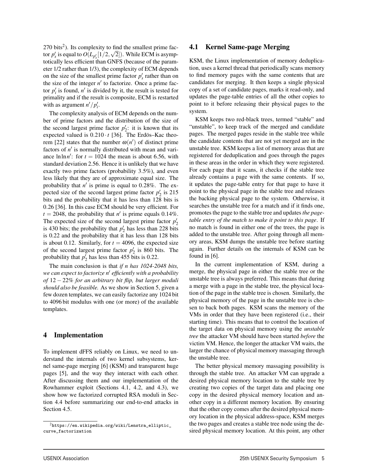$270$  bits<sup>2</sup>). Its complexity to find the smallest prime factor  $p'_s$  is equal to  $O(L_{p'_s}[1/2, \sqrt{2}])$ . While ECM is asymptotically less efficient than GNFS (because of the parameter 1/2 rather than 1/3), the complexity of ECM depends on the size of the smallest prime factor  $p'_{s}$  rather than on the size of the integer  $n'$  to factorize. Once a prime factor  $p'_i$  is found,  $n'$  is divided by it, the result is tested for primality and if the result is composite, ECM is restarted with as argument  $n'/p'_i$ .

The complexity analysis of ECM depends on the number of prime factors and the distribution of the size of the second largest prime factor  $p'_2$ : it is known that its expected valued is  $0.210 \cdot t$  [36]. The Erdös–Kac theorem [22] states that the number  $\omega(n')$  of distinct prime factors of  $n'$  is normally distributed with mean and variance  $\ln \ln n'$ : for  $t = 1024$  the mean is about 6.56, with standard deviation 2.56. Hence it is unlikely that we have exactly two prime factors (probability 3.5%), and even less likely that they are of approximate equal size. The probability that  $n'$  is prime is equal to 0.28%. The expected size of the second largest prime factor  $p'_2$  is 215 bits and the probability that it has less than 128 bits is 0.26 [36]. In this case ECM should be very efficient. For  $t = 2048$ , the probability that *n'* is prime equals 0.14%. The expected size of the second largest prime factor  $p'_2$ is 430 bits; the probability that  $p'_2$  has less than 228 bits is 0.22 and the probability that it has less than 128 bits is about 0.12. Similarly, for  $t = 4096$ , the expected size of the second largest prime factor  $p'_2$  is 860 bits. The probability that  $p_2'$  has less than 455 bits is 0.22.

The main conclusion is that *if n has 1024-2048 bits, we can expect to factorize n efficiently with a probability of* 12 − 22% *for an arbitrary bit flip, but larger moduli should also be feasible.* As we show in Section 5, given a few dozen templates, we can easily factorize any 1024 bit to 4096 bit modulus with one (or more) of the available templates.

#### 4 Implementation

To implement dFFS reliably on Linux, we need to understand the internals of two kernel subsystems, kernel same-page merging [6] (KSM) and transparent huge pages [5], and the way they interact with each other. After discussing them and our implementation of the Rowhammer exploit (Sections 4.1, 4.2, and 4.3), we show how we factorized corrupted RSA moduli in Section 4.4 before summarizing our end-to-end attacks in Section 4.5.

5

## 4.1 Kernel Same-page Merging

KSM, the Linux implementation of memory deduplication, uses a kernel thread that periodically scans memory to find memory pages with the same contents that are candidates for merging. It then keeps a single physical copy of a set of candidate pages, marks it read-only, and updates the page-table entries of all the other copies to point to it before releasing their physical pages to the system.

KSM keeps two red-black trees, termed "stable" and "unstable", to keep track of the merged and candidate pages. The merged pages reside in the stable tree while the candidate contents that are not yet merged are in the unstable tree. KSM keeps a list of memory areas that are registered for deduplication and goes through the pages in these areas in the order in which they were registered. For each page that it scans, it checks if the stable tree already contains a page with the same contents. If so, it updates the page-table entry for that page to have it point to the physical page in the stable tree and releases the backing physical page to the system. Otherwise, it searches the unstable tree for a match and if it finds one, promotes the page to the stable tree and updates*the pagetable entry of the match to make it point to this page*. If no match is found in either one of the trees, the page is added to the unstable tree. After going through all memory areas, KSM dumps the unstable tree before starting again. Further details on the internals of KSM can be found in [6].

In the current implementation of KSM, during a merge, the physical page in either the stable tree or the unstable tree is always preferred. This means that during a merge with a page in the stable tree, the physical location of the page in the stable tree is chosen. Similarly, the physical memory of the page in the unstable tree is chosen to back both pages. KSM scans the memory of the VMs in order that they have been registered (i.e., their starting time). This means that to control the location of the target data on physical memory using the *unstable tree* the attacker VM should have been started *before* the victim VM. Hence, the longer the attacker VM waits, the larger the chance of physical memory massaging through the unstable tree.

The better physical memory massaging possibility is through the stable tree. An attacker VM can upgrade a desired physical memory location to the stable tree by creating two copies of the target data and placing one copy in the desired physical memory location and another copy in a different memory location. By ensuring that the other copy comes after the desired physical memory location in the physical address-space, KSM merges the two pages and creates a stable tree node using the desired physical memory location. At this point, any other

 $2$ https://en.wikipedia.org/wiki/Lenstra\_elliptic\_ curve\_factorization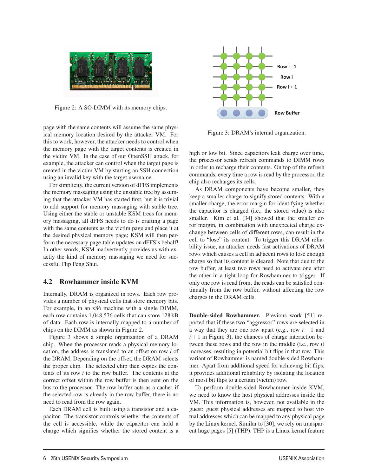

Figure 2: A SO-DIMM with its memory chips.

page with the same contents will assume the same physical memory location desired by the attacker VM. For this to work, however, the attacker needs to control when the memory page with the target contents is created in the victim VM. In the case of our OpenSSH attack, for example, the attacker can control when the target page is created in the victim VM by starting an SSH connection using an invalid key with the target username.

For simplicity, the current version of dFFS implements the memory massaging using the unstable tree by assuming that the attacker VM has started first, but it is trivial to add support for memory massaging with stable tree. Using either the stable or unstable KSM trees for memory massaging, all dFFS needs to do is crafting a page with the same contents as the victim page and place it at the desired physical memory page; KSM will then perform the necessary page-table updates on dFFS's behalf! In other words, KSM inadvertently provides us with exactly the kind of memory massaging we need for successful Flip Feng Shui.

# 4.2 Rowhammer inside KVM

Internally, DRAM is organized in rows. Each row provides a number of physical cells that store memory bits. For example, in an x86 machine with a single DIMM, each row contains 1,048,576 cells that can store 128 kB of data. Each row is internally mapped to a number of chips on the DIMM as shown in Figure 2.

Figure 3 shows a simple organization of a DRAM chip. When the processor reads a physical memory location, the address is translated to an offset on row *i* of the DRAM. Depending on the offset, the DRAM selects the proper chip. The selected chip then copies the contents of its row *i* to the row buffer. The contents at the correct offset within the row buffer is then sent on the bus to the processor. The row buffer acts as a cache: if the selected row is already in the row buffer, there is no need to read from the row again.

Each DRAM cell is built using a transistor and a capacitor. The transistor controls whether the contents of the cell is accessible, while the capacitor can hold a charge which signifies whether the stored content is a

6



Figure 3: DRAM's internal organization.

high or low bit. Since capacitors leak charge over time, the processor sends refresh commands to DIMM rows in order to recharge their contents. On top of the refresh commands, every time a row is read by the processor, the chip also recharges its cells.

As DRAM components have become smaller, they keep a smaller charge to signify stored contents. With a smaller charge, the error margin for identifying whether the capacitor is charged (i.e., the stored value) is also smaller. Kim et al. [34] showed that the smaller error margin, in combination with unexpected charge exchange between cells of different rows, can result in the cell to "lose" its content. To trigger this DRAM reliability issue, an attacker needs fast activations of DRAM rows which causes a cell in adjacent rows to lose enough charge so that its content is cleared. Note that due to the row buffer, at least two rows need to activate one after the other in a tight loop for Rowhammer to trigger. If only one row is read from, the reads can be satisfied continually from the row buffer, without affecting the row charges in the DRAM cells.

Double-sided Rowhammer. Previous work [51] reported that if these two "aggressor" rows are selected in a way that they are one row apart (e.g., row *i* − 1 and  $i+1$  in Figure 3), the chances of charge interaction between these rows and the row in the middle (i.e., row *i*) increases, resulting in potential bit flips in that row. This variant of Rowhammer is named double-sided Rowhammer. Apart from additional speed for achieving bit flips, it provides additional reliability by isolating the location of most bit flips to a certain (victim) row.

To perform double-sided Rowhammer inside KVM, we need to know the host physical addresses inside the VM. This information is, however, not available in the guest: guest physical addresses are mapped to host virtual addresses which can be mapped to any physical page by the Linux kernel. Similar to [30], we rely on transparent huge pages [5] (THP). THP is a Linux kernel feature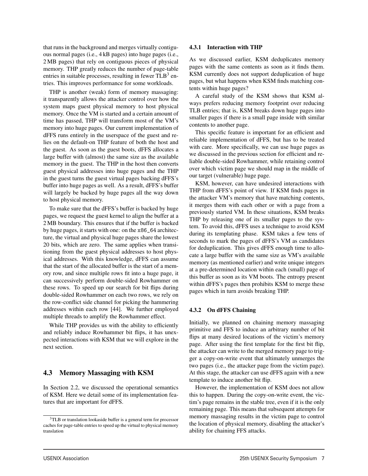that runs in the background and merges virtually contiguous normal pages (i.e., 4 kB pages) into huge pages (i.e., 2 MB pages) that rely on contiguous pieces of physical memory. THP greatly reduces the number of page-table entries in suitable processes, resulting in fewer  $TLB<sup>3</sup>$  entries. This improves performance for some workloads.

THP is another (weak) form of memory massaging: it transparently allows the attacker control over how the system maps guest physical memory to host physical memory. Once the VM is started and a certain amount of time has passed, THP will transform most of the VM's memory into huge pages. Our current implementation of dFFS runs entirely in the userspace of the guest and relies on the default-on THP feature of both the host and the guest. As soon as the guest boots, dFFS allocates a large buffer with (almost) the same size as the available memory in the guest. The THP in the host then converts guest physical addresses into huge pages and the THP in the guest turns the guest virtual pages backing dFFS's buffer into huge pages as well. As a result, dFFS's buffer will largely be backed by huge pages all the way down to host physical memory.

To make sure that the dFFS's buffer is backed by huge pages, we request the guest kernel to align the buffer at a 2 MB boundary. This ensures that if the buffer is backed by huge pages, it starts with one: on the x86\_64 architecture, the virtual and physical huge pages share the lowest 20 bits, which are zero. The same applies when transitioning from the guest physical addresses to host physical addresses. With this knowledge, dFFS can assume that the start of the allocated buffer is the start of a memory row, and since multiple rows fit into a huge page, it can successively perform double-sided Rowhammer on these rows. To speed up our search for bit flips during double-sided Rowhammer on each two rows, we rely on the row-conflict side channel for picking the hammering addresses within each row [44]. We further employed multiple threads to amplify the Rowhammer effect.

While THP provides us with the ability to efficiently and reliably induce Rowhammer bit flips, it has unexpected interactions with KSM that we will explore in the next section.

#### 4.3 Memory Massaging with KSM

In Section 2.2, we discussed the operational semantics of KSM. Here we detail some of its implementation features that are important for dFFS.

#### 4.3.1 Interaction with THP

As we discussed earlier, KSM deduplicates memory pages with the same contents as soon as it finds them. KSM currently does not support deduplication of huge pages, but what happens when KSM finds matching contents within huge pages?

A careful study of the KSM shows that KSM always prefers reducing memory footprint over reducing TLB entries; that is, KSM breaks down huge pages into smaller pages if there is a small page inside with similar contents to another page.

This specific feature is important for an efficient and reliable implementation of dFFS, but has to be treated with care. More specifically, we can use huge pages as we discussed in the previous section for efficient and reliable double-sided Rowhammer, while retaining control over which victim page we should map in the middle of our target (vulnerable) huge page.

KSM, however, can have undesired interactions with THP from dFFS's point of view. If KSM finds pages in the attacker VM's memory that have matching contents, it merges them with each other or with a page from a previously started VM. In these situations, KSM breaks THP by releasing one of its smaller pages to the system. To avoid this, dFFS uses a technique to avoid KSM during its templating phase. KSM takes a few tens of seconds to mark the pages of dFFS's VM as candidates for deduplication. This gives dFFS enough time to allocate a large buffer with the same size as VM's available memory (as mentioned earlier) and write unique integers at a pre-determined location within each (small) page of this buffer as soon as its VM boots. The entropy present within dFFS's pages then prohibits KSM to merge these pages which in turn avoids breaking THP.

#### 4.3.2 On dFFS Chaining

7

Initially, we planned on chaining memory massaging primitive and FFS to induce an arbitrary number of bit flips at many desired locations of the victim's memory page. After using the first template for the first bit flip, the attacker can write to the merged memory page to trigger a copy-on-write event that ultimately unmerges the two pages (i.e., the attacker page from the victim page). At this stage, the attacker can use dFFS again with a new template to induce another bit flip.

However, the implementation of KSM does not allow this to happen. During the copy-on-write event, the victim's page remains in the stable tree, even if it is the only remaining page. This means that subsequent attempts for memory massaging results in the victim page to control the location of physical memory, disabling the attacker's ability for chaining FFS attacks.

<sup>3</sup>TLB or translation lookaside buffer is a general term for processor caches for page-table entries to speed up the virtual to physical memory translation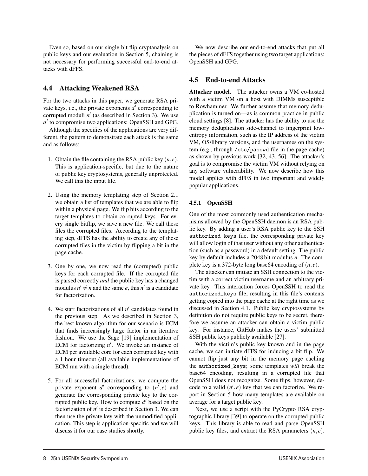Even so, based on our single bit flip cryptanalysis on public keys and our evaluation in Section 5, chaining is not necessary for performing successful end-to-end attacks with dFFS.

# 4.4 Attacking Weakened RSA

For the two attacks in this paper, we generate RSA private keys, i.e., the private exponents  $d'$  corresponding to corrupted moduli  $n'$  (as described in Section 3). We use *d'* to compromise two applications: OpenSSH and GPG.

Although the specifics of the applications are very different, the pattern to demonstrate each attack is the same and as follows:

- 1. Obtain the file containing the RSA public key (*n*, *e*). This is application-specific, but due to the nature of public key cryptosystems, generally unprotected. We call this the input file.
- 2. Using the memory templating step of Section 2.1 we obtain a list of templates that we are able to flip within a physical page. We flip bits according to the target templates to obtain corrupted keys. For every single bitflip, we save a new file. We call these files the corrupted files. According to the templating step, dFFS has the ability to create any of these corrupted files in the victim by flipping a bit in the page cache.
- 3. One by one, we now read the (corrupted) public keys for each corrupted file. If the corrupted file is parsed correctly *and* the public key has a changed modulus  $n' \neq n$  and the same *e*, this *n'* is a candidate for factorization.
- 4. We start factorizations of all *n'* candidates found in the previous step. As we described in Section 3, the best known algorithm for our scenario is ECM that finds increasingly large factor in an iterative fashion. We use the Sage [19] implementation of ECM for factorizing *n* . We invoke an instance of ECM per available core for each corrupted key with a 1 hour timeout (all available implementations of ECM run with a single thread).
- 5. For all successful factorizations, we compute the private exponent  $d'$  corresponding to  $(n', e)$  and generate the corresponding private key to the corrupted public key. How to compute  $d'$  based on the factorization of  $n'$  is described in Section 3. We can then use the private key with the unmodified application. This step is application-specific and we will discuss it for our case studies shortly.

We now describe our end-to-end attacks that put all the pieces of dFFS together using two target applications: OpenSSH and GPG.

# 4.5 End-to-end Attacks

Attacker model. The attacker owns a VM co-hosted with a victim VM on a host with DIMMs susceptible to Rowhammer. We further assume that memory deduplication is turned on—as is common practice in public cloud settings [8]. The attacker has the ability to use the memory deduplication side-channel to fingerprint lowentropy information, such as the IP address of the victim VM, OS/library versions, and the usernames on the system (e.g., through /etc/passwd file in the page cache) as shown by previous work [32, 43, 56]. The attacker's goal is to compromise the victim VM without relying on any software vulnerability. We now describe how this model applies with dFFS in two important and widely popular applications.

## 4.5.1 OpenSSH

8

One of the most commonly used authentication mechanisms allowed by the OpenSSH daemon is an RSA public key. By adding a user's RSA public key to the SSH authorized\_keys file, the corresponding private key will allow login of that user without any other authentication (such as a password) in a default setting. The public key by default includes a 2048 bit modulus *n*. The complete key is a 372-byte long base64 encoding of  $(n, e)$ .

The attacker can initiate an SSH connection to the victim with a correct victim username and an arbitrary private key. This interaction forces OpenSSH to read the authorized\_keys file, resulting in this file's contents getting copied into the page cache at the right time as we discussed in Section 4.1. Public key cryptosystems by definition do not require public keys to be secret, therefore we assume an attacker can obtain a victim public key. For instance, GitHub makes the users' submitted SSH public keys publicly available [27].

With the victim's public key known and in the page cache, we can initiate dFFS for inducing a bit flip. We cannot flip just any bit in the memory page caching the authorized\_keys; some templates *will* break the base64 encoding, resulting in a corrupted file that OpenSSH does not recognize. Some flips, however, decode to a valid  $(n', e)$  key that we can factorize. We report in Section 5 how many templates are available on average for a target public key.

Next, we use a script with the PyCrypto RSA cryptographic library [39] to operate on the corrupted public keys. This library is able to read and parse OpenSSH public key files, and extract the RSA parameters  $(n, e)$ .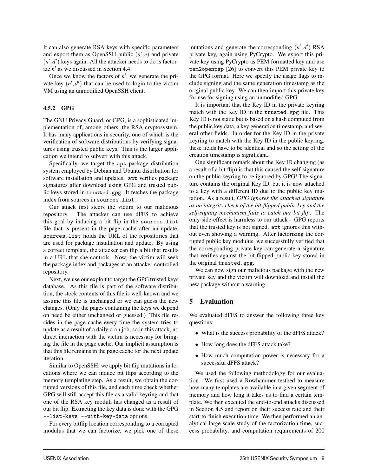It can also generate RSA keys with specific parameters and export them as OpenSSH public  $(n', e)$  and private  $(n', d')$  keys again. All the attacker needs to do is factorize  $n'$  as we discussed in Section 4.4.

Once we know the factors of  $n'$ , we generate the private key  $(n', d')$  that can be used to login to the victim VM using an unmodified OpenSSH client.

#### 4.5.2 GPG

The GNU Privacy Guard, or GPG, is a sophisticated implementation of, among others, the RSA cryptosystem. It has many applications in security, one of which is the verification of software distributions by verifying signatures using trusted public keys. This is the larger application we intend to subvert with this attack.

Specifically, we target the apt package distribution system employed by Debian and Ubuntu distribution for software installation and updates. apt verifies package signatures after download using GPG and trusted public keys stored in trusted.gpg. It fetches the package index from sources in sources.list.

Our attack first steers the victim to our malicious repository. The attacker can use dFFS to achieve this goal by inducing a bit flip in the sources.list file that is present in the page cache after an update. sources.list holds the URL of the repositories that are used for package installation and update. By using a correct template, the attacker can flip a bit that results in a URL that she controls. Now, the victim will seek the package index and packages at an attacker-controlled repository.

Next, we use our exploit to target the GPG trusted keys database. As this file is part of the software distribution, the stock contents of this file is well-known and we assume this file is unchanged or we can guess the new changes. (Only the pages containing the keys we depend on need be either unchanged or guessed.) This file resides in the page cache every time the system tries to update as a result of a daily cron job, so in this attack, no direct interaction with the victim is necessary for bringing the file in the page cache. Our implicit assumption is that this file remains in the page cache for the next update iteration.

Similar to OpenSSH, we apply bit flip mutations in locations where we can induce bit flips according to the memory templating step. As a result, we obtain the corrupted versions of this file, and each time check whether GPG will still accept this file as a valid keyring and that one of the RSA key moduli has changed as a result of our bit flip. Extracting the key data is done with the GPG --list-keys --with-key-data options.

For every bitflip location corresponding to a corrupted modulus that we can factorize, we pick one of these

mutations and generate the corresponding (*n* ,*d* ) RSA private key, again using PyCrypto. We export this private key using PyCrypto as PEM formatted key and use pem2openpgp [26] to convert this PEM private key to the GPG format. Here we specify the usage flags to include signing and the same generation timestamp as the original public key. We can then import this private key for use for signing using an unmodified GPG.

It is important that the Key ID in the private keyring match with the Key ID in the trusted.gpg file. This Key ID is not static but is based on a hash computed from the public key data, a key generation timestamp, and several other fields. In order for the Key ID in the private keyring to match with the Key ID in the public keyring, these fields have to be identical and so the setting of the creation timestamp is significant.

One significant remark about the Key ID changing (as a result of a bit flip) is that this caused the self-signature on the public keyring to be ignored by GPG! The signature contains the original Key ID, but it is now attached to a key with a different ID due to the public key mutation. As a result, *GPG ignores the attached signature as an integrity check of the bit-flipped public key and the self-signing mechanism fails to catch our bit flip*. The only side-effect is harmless to our attack – GPG reports that the trusted key is not signed. apt ignores this without even showing a warning. After factorizing the corrupted public key modulus, we successfully verified that the corresponding private key can generate a signature that verifies against the bit-flipped public key stored in the original trusted.gpg.

We can now sign our malicious package with the new private key and the victim will download and install the new package without a warning.

# 5 Evaluation

9

We evaluated dFFS to answer the following three key questions:

- What is the success probability of the dFFS attack?
- How long does the dFFS attack take?
- How much computation power is necessary for a successful dFFS attack?

We used the following methodology for our evaluation. We first used a Rowhammer testbed to measure how many templates are available in a given segment of memory and how long it takes us to find a certain template. We then executed the end-to-end attacks discussed in Section 4.5 and report on their success rate and their start-to-finish execution time. We then performed an analytical large-scale study of the factorization time, success probability, and computation requirements of 200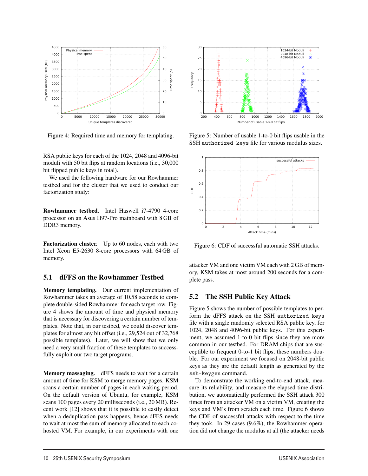

Figure 4: Required time and memory for templating.

RSA public keys for each of the 1024, 2048 and 4096-bit moduli with 50 bit flips at random locations (i.e., 30,000 bit flipped public keys in total).

We used the following hardware for our Rowhammer testbed and for the cluster that we used to conduct our factorization study:

Rowhammer testbed. Intel Haswell i7-4790 4-core processor on an Asus H97-Pro mainboard with 8 GB of DDR3 memory.

Factorization cluster. Up to 60 nodes, each with two Intel Xeon E5-2630 8-core processors with 64 GB of memory.

#### 5.1 dFFS on the Rowhammer Testbed

Memory templating. Our current implementation of Rowhammer takes an average of 10.58 seconds to complete double-sided Rowhammer for each target row. Figure 4 shows the amount of time and physical memory that is necessary for discovering a certain number of templates. Note that, in our testbed, we could discover templates for almost any bit offset (i.e., 29,524 out of 32,768 possible templates). Later, we will show that we only need a very small fraction of these templates to successfully exploit our two target programs.

Memory massaging. dFFS needs to wait for a certain amount of time for KSM to merge memory pages. KSM scans a certain number of pages in each waking period. On the default version of Ubuntu, for example, KSM scans 100 pages every 20 milliseconds (i.e., 20 MB). Recent work [12] shows that it is possible to easily detect when a deduplication pass happens, hence dFFS needs to wait at most the sum of memory allocated to each cohosted VM. For example, in our experiments with one



Figure 5: Number of usable 1-to-0 bit flips usable in the SSH authorized\_keys file for various modulus sizes.



Figure 6: CDF of successful automatic SSH attacks.

attacker VM and one victim VM each with 2 GB of memory, KSM takes at most around 200 seconds for a complete pass.

# 5.2 The SSH Public Key Attack

Figure 5 shows the number of possible templates to perform the dFFS attack on the SSH authorized\_keys file with a single randomly selected RSA public key, for 1024, 2048 and 4096-bit public keys. For this experiment, we assumed 1-to-0 bit flips since they are more common in our testbed. For DRAM chips that are susceptible to frequent 0-to-1 bit flips, these numbers double. For our experiment we focused on 2048-bit public keys as they are the default length as generated by the ssh-keygen command.

To demonstrate the working end-to-end attack, measure its reliability, and measure the elapsed time distribution, we automatically performed the SSH attack 300 times from an attacker VM on a victim VM, creating the keys and VM's from scratch each time. Figure 6 shows the CDF of successful attacks with respect to the time they took. In 29 cases (9.6%), the Rowhammer operation did not change the modulus at all (the attacker needs

10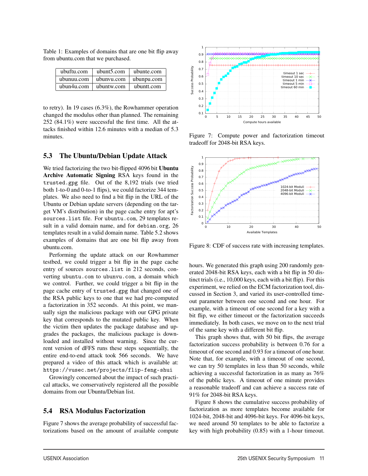Table 1: Examples of domains that are one bit flip away from ubuntu.com that we purchased.

| ubuftu.com | ubunt5.com | ubunte.com |
|------------|------------|------------|
| ubunuu.com | ubunyu.com | ubunpu.com |
| ubun4u.com | ubuntw.com | ubuntt.com |

to retry). In 19 cases (6.3%), the Rowhammer operation changed the modulus other than planned. The remaining 252 (84.1%) were successful the first time. All the attacks finished within 12.6 minutes with a median of 5.3 minutes.

# 5.3 The Ubuntu/Debian Update Attack

We tried factorizing the two bit-flipped 4096 bit Ubuntu Archive Automatic Signing RSA keys found in the trusted.gpg file. Out of the 8,192 trials (we tried both 1-to-0 and 0-to-1 flips), we could factorize 344 templates. We also need to find a bit flip in the URL of the Ubuntu or Debian update servers (depending on the target VM's distribution) in the page cache entry for apt's sources.list file. For ubuntu.com, 29 templates result in a valid domain name, and for debian.org, 26 templates result in a valid domain name. Table 5.2 shows examples of domains that are one bit flip away from ubuntu.com.

Performing the update attack on our Rowhammer testbed, we could trigger a bit flip in the page cache entry of sources sources.list in 212 seconds, converting ubuntu.com to ubunvu.com, a domain which we control. Further, we could trigger a bit flip in the page cache entry of trusted.gpg that changed one of the RSA public keys to one that we had pre-computed a factorization in 352 seconds. At this point, we manually sign the malicious package with our GPG private key that corresponds to the mutated public key. When the victim then updates the package database and upgrades the packages, the malicious package is downloaded and installed without warning. Since the current version of dFFS runs these steps sequentially, the entire end-to-end attack took 566 seconds. We have prepared a video of this attack which is available at: https://vusec.net/projects/flip-feng-shui

Growingly concerned about the impact of such practical attacks, we conservatively registered all the possible domains from our Ubuntu/Debian list.

# 5.4 RSA Modulus Factorization

Figure 7 shows the average probability of successful factorizations based on the amount of available compute

11



Figure 7: Compute power and factorization timeout tradeoff for 2048-bit RSA keys.



Figure 8: CDF of success rate with increasing templates.

hours. We generated this graph using 200 randomly generated 2048-bit RSA keys, each with a bit flip in 50 distinct trials (i.e., 10,000 keys, each with a bit flip). For this experiment, we relied on the ECM factorization tool, discussed in Section 3, and varied its user-controlled timeout parameter between one second and one hour. For example, with a timeout of one second for a key with a bit flip, we either timeout or the factorization succeeds immediately. In both cases, we move on to the next trial of the same key with a different bit flip.

This graph shows that, with 50 bit flips, the average factorization success probability is between 0.76 for a timeout of one second and 0.93 for a timeout of one hour. Note that, for example, with a timeout of one second, we can try 50 templates in less than 50 seconds, while achieving a successful factorization in as many as 76% of the public keys. A timeout of one minute provides a reasonable tradeoff and can achieve a success rate of 91% for 2048-bit RSA keys.

Figure 8 shows the cumulative success probability of factorization as more templates become available for 1024-bit, 2048-bit and 4096-bit keys. For 4096-bit keys, we need around 50 templates to be able to factorize a key with high probability (0.85) with a 1-hour timeout.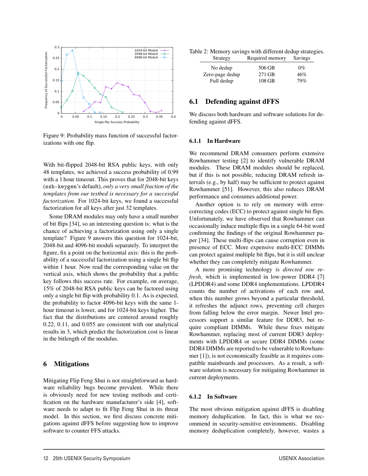

Figure 9: Probability mass function of successful factorizations with one flip.

With bit-flipped 2048-bit RSA public keys, with only 48 templates, we achieved a success probability of 0.99 with a 1 hour timeout. This proves that for 2048-bit keys (ssh-keygen's default), *only a very small fraction of the templates from our testbed is necessary for a successful factorization.* For 1024-bit keys, we found a successful factorization for all keys after just 32 templates.

Some DRAM modules may only have a small number of bit flips [34], so an interesting question is: what is the chance of achieving a factorization using only a single template? Figure 9 answers this question for 1024-bit, 2048-bit and 4096-bit moduli separately. To interpret the figure, fix a point on the horizontal axis: this is the probability of a successful factorization using a single bit flip within 1 hour. Now read the corresponding value on the vertical axis, which shows the probability that a public key follows this success rate. For example, on average, 15% of 2048-bit RSA public keys can be factored using only a single bit flip with probability 0.1. As is expected, the probability to factor 4096-bit keys with the same 1 hour timeout is lower, and for 1024-bit keys higher. The fact that the distributions are centered around roughly 0.22, 0.11, and 0.055 are consistent with our analytical results in 3, which predict the factorization cost is linear in the bitlength of the modulus.

#### 6 Mitigations

Mitigating Flip Feng Shui is not straightforward as hardware reliability bugs become prevalent. While there is obviously need for new testing methods and certification on the hardware manufacturer's side [4], software needs to adapt to fit Flip Feng Shui in its threat model. In this section, we first discuss concrete mitigations against dFFS before suggesting how to improve software to counter FFS attacks.

Table 2: Memory savings with different dedup strategies.

| Strategy                    | Required memory  | Savings      |
|-----------------------------|------------------|--------------|
| No dedup<br>Zero-page dedup | 506 GB<br>271 GB | $0\%$<br>46% |
| Full dedup                  | 108 GB           | 79%          |

#### 6.1 Defending against dFFS

We discuss both hardware and software solutions for defending against dFFS.

#### 6.1.1 In Hardware

We recommend DRAM consumers perform extensive Rowhammer testing [2] to identify vulnerable DRAM modules. These DRAM modules should be replaced, but if this is not possible, reducing DRAM refresh intervals (e.g., by half) may be sufficient to protect against Rowhammer [51]. However, this also reduces DRAM performance and consumes additional power.

Another option is to rely on memory with errorcorrecting codes (ECC) to protect against single bit flips. Unfortunately, we have observed that Rowhammer can occasionally induce multiple flips in a single 64-bit word confirming the findings of the original Rowhammer paper [34]. These multi-flips can cause corruption even in presence of ECC. More expensive multi-ECC DIMMs can protect against multiple bit flips, but it is still unclear whether they can completely mitigate Rowhammer.

A more promising technology is *directed row refresh*, which is implemented in low-power DDR4 [7] (LPDDR4) and some DDR4 implementations. LPDDR4 counts the number of activations of each row and, when this number grows beyond a particular threshold, it refreshes the adjunct rows, preventing cell charges from falling below the error margin. Newer Intel processors support a similar feature for DDR3, but require compliant DIMMs. While these fixes mitigate Rowhammer, replacing most of current DDR3 deployments with LPDDR4 or secure DDR4 DIMMs (some DDR4 DIMMs are reported to be vulnerable to Rowhammer [1]), is not economically feasible as it requires compatible mainboards and processors. As a result, a software solution is necessary for mitigating Rowhammer in current deployments.

#### 6.1.2 In Software

12

The most obvious mitigation against dFFS is disabling memory deduplication. In fact, this is what we recommend in security-sensitive environments. Disabling memory deduplication completely, however, wastes a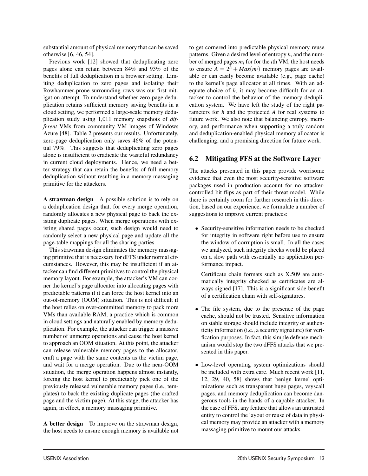substantial amount of physical memory that can be saved otherwise [6, 46, 54].

Previous work [12] showed that deduplicating zero pages alone can retain between 84% and 93% of the benefits of full deduplication in a browser setting. Limiting deduplication to zero pages and isolating their Rowhammer-prone surrounding rows was our first mitigation attempt. To understand whether zero-page deduplication retains sufficient memory saving benefits in a cloud setting, we performed a large-scale memory deduplication study using 1,011 memory snapshots of *different* VMs from community VM images of Windows Azure [48]. Table 2 presents our results. Unfortunately, zero-page deduplication only saves 46% of the potential 79%. This suggests that deduplicating zero pages alone is insufficient to eradicate the wasteful redundancy in current cloud deployments. Hence, we need a better strategy that can retain the benefits of full memory deduplication without resulting in a memory massaging primitive for the attackers.

A strawman design A possible solution is to rely on a deduplication design that, for every merge operation, randomly allocates a new physical page to back the existing duplicate pages. When merge operations with existing shared pages occur, such design would need to randomly select a new physical page and update all the page-table mappings for all the sharing parties.

This strawman design eliminates the memory massaging primitive that is necessary for dFFS under normal circumstances. However, this may be insufficient if an attacker can find different primitives to control the physical memory layout. For example, the attacker's VM can corner the kernel's page allocator into allocating pages with predictable patterns if it can force the host kernel into an out-of-memory (OOM) situation. This is not difficult if the host relies on over-committed memory to pack more VMs than available RAM, a practice which is common in cloud settings and naturally enabled by memory deduplication. For example, the attacker can trigger a massive number of unmerge operations and cause the host kernel to approach an OOM situation. At this point, the attacker can release vulnerable memory pages to the allocator, craft a page with the same contents as the victim page, and wait for a merge operation. Due to the near-OOM situation, the merge operation happens almost instantly, forcing the host kernel to predictably pick one of the previously released vulnerable memory pages (i.e., templates) to back the existing duplicate pages (the crafted page and the victim page). At this stage, the attacker has again, in effect, a memory massaging primitive.

A better design To improve on the strawman design, the host needs to ensure enough memory is available not

13

to get cornered into predictable physical memory reuse patterns. Given a desired level of entropy *h*, and the number of merged pages *mi* for for the *i*th VM, the host needs to ensure  $A = 2^h + \text{Max}(m_i)$  memory pages are available or can easily become available (e.g., page cache) to the kernel's page allocator at all times. With an adequate choice of *h*, it may become difficult for an attacker to control the behavior of the memory deduplication system. We have left the study of the right parameters for *h* and the projected *A* for real systems to future work. We also note that balancing entropy, memory, and performance when supporting a truly random and deduplication-enabled physical memory allocator is challenging, and a promising direction for future work.

# 6.2 Mitigating FFS at the Software Layer

The attacks presented in this paper provide worrisome evidence that even the most security-sensitive software packages used in production account for no attackercontrolled bit flips as part of their threat model. While there is certainly room for further research in this direction, based on our experience, we formulate a number of suggestions to improve current practices:

• Security-sensitive information needs to be checked for integrity in software right before use to ensure the window of corruption is small. In all the cases we analyzed, such integrity checks would be placed on a slow path with essentially no application performance impact.

Certificate chain formats such as X.509 are automatically integrity checked as certificates are always signed [17]. This is a significant side benefit of a certification chain with self-signatures.

- The file system, due to the presence of the page cache, should not be trusted. Sensitive information on stable storage should include integrity or authenticity information (i.e., a security signature) for verification purposes. In fact, this simple defense mechanism would stop the two dFFS attacks that we presented in this paper.
- Low-level operating system optimizations should be included with extra care. Much recent work [11, 12, 29, 40, 58] shows that benign kernel optimizations such as transparent huge pages, vsyscall pages, and memory deduplication can become dangerous tools in the hands of a capable attacker. In the case of FFS, any feature that allows an untrusted entity to control the layout or reuse of data in physical memory may provide an attacker with a memory massaging primitive to mount our attacks.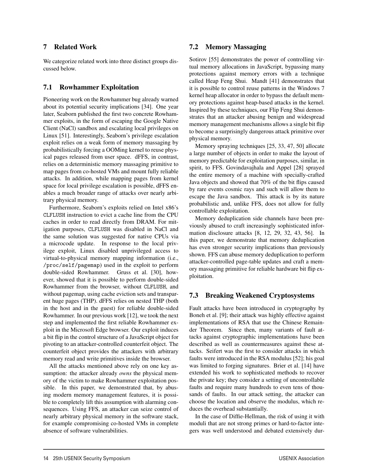# 7 Related Work

We categorize related work into three distinct groups discussed below.

# 7.1 Rowhammer Exploitation

Pioneering work on the Rowhammer bug already warned about its potential security implications [34]. One year later, Seaborn published the first two concrete Rowhammer exploits, in the form of escaping the Google Native Client (NaCl) sandbox and escalating local privileges on Linux [51]. Interestingly, Seaborn's privilege escalation exploit relies on a weak form of memory massaging by probabilistically forcing a OOMing kernel to reuse physical pages released from user space. dFFS, in contrast, relies on a deterministic memory massaging primitive to map pages from co-hosted VMs and mount fully reliable attacks. In addition, while mapping pages from kernel space for local privilege escalation is possible, dFFS enables a much broader range of attacks over nearly arbitrary physical memory.

Furthermore, Seaborn's exploits relied on Intel x86's CLFLUSH instruction to evict a cache line from the CPU caches in order to read directly from DRAM. For mitigation purposes, CLFLUSH was disabled in NaCl and the same solution was suggested for native CPUs via a microcode update. In response to the local privilege exploit, Linux disabled unprivileged access to virtual-to-physical memory mapping information (i.e., /proc/self/pagemap) used in the exploit to perform double-sided Rowhammer. Gruss et al. [30], however, showed that it is possible to perform double-sided Rowhammer from the browser, without CLFLUSH, and without pagemap, using cache eviction sets and transparent huge pages (THP). dFFS relies on nested THP (both in the host and in the guest) for reliable double-sided Rowhammer. In our previous work [12], we took the next step and implemented the first reliable Rowhammer exploit in the Microsoft Edge browser. Our exploit induces a bit flip in the control structure of a JavaScript object for pivoting to an attacker-controlled counterfeit object. The counterfeit object provides the attackers with arbitrary memory read and write primitives inside the browser.

All the attacks mentioned above rely on one key assumption: the attacker already *owns* the physical memory of the victim to make Rowhammer exploitation possible. In this paper, we demonstrated that, by abusing modern memory management features, it is possible to completely lift this assumption with alarming consequences. Using FFS, an attacker can seize control of nearly arbitrary physical memory in the software stack, for example compromising co-hosted VMs in complete absence of software vulnerabilities.

# 7.2 Memory Massaging

Sotirov [55] demonstrates the power of controlling virtual memory allocations in JavaScript, bypassing many protections against memory errors with a technique called Heap Feng Shui. Mandt [41] demonstrates that it is possible to control reuse patterns in the Windows 7 kernel heap allocator in order to bypass the default memory protections against heap-based attacks in the kernel. Inspired by these techniques, our Flip Feng Shui demonstrates that an attacker abusing benign and widespread memory management mechanisms allows a single bit flip to become a surprisingly dangerous attack primitive over physical memory.

Memory spraying techniques [25, 33, 47, 50] allocate a large number of objects in order to make the layout of memory predictable for exploitation purposes, similar, in spirit, to FFS. Govindavajhala and Appel [28] sprayed the entire memory of a machine with specially-crafted Java objects and showed that 70% of the bit flips caused by rare events cosmic rays and such will allow them to escape the Java sandbox. This attack is by its nature probabilistic and, unlike FFS, does not allow for fully controllable exploitation.

Memory deduplication side channels have been previously abused to craft increasingly sophisticated information disclosure attacks [8, 12, 29, 32, 43, 56]. In this paper, we demonstrate that memory deduplication has even stronger security implications than previously shown. FFS can abuse memory deduplication to perform attacker-controlled page-table updates and craft a memory massaging primitive for reliable hardware bit flip exploitation.

# 7.3 Breaking Weakened Cryptosystems

Fault attacks have been introduced in cryptography by Boneh et al. [9]; their attack was highly effective against implementations of RSA that use the Chinese Remainder Theorem. Since then, many variants of fault attacks against cryptographic implementations have been described as well as countermeasures against these attacks. Seifert was the first to consider attacks in which faults were introduced in the RSA modulus [52]; his goal was limited to forging signatures. Brier et al. [14] have extended his work to sophisticated methods to recover the private key; they consider a setting of uncontrollable faults and require many hundreds to even tens of thousands of faults. In our attack setting, the attacker can choose the location and observe the modulus, which reduces the overhead substantially.

In the case of Diffie-Hellman, the risk of using it with moduli that are not strong primes or hard-to-factor integers was well understood and debated extensively dur-

14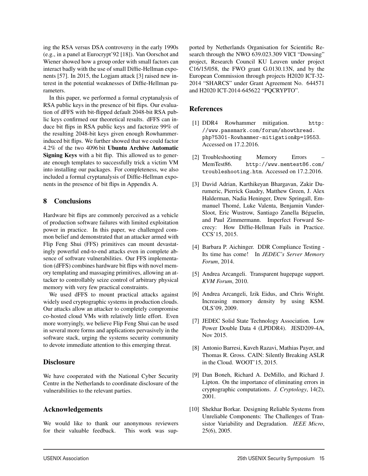ing the RSA versus DSA controversy in the early 1990s (e.g., in a panel at Eurocrypt'92 [18]). Van Oorschot and Wiener showed how a group order with small factors can interact badly with the use of small Diffie-Hellman exponents [57]. In 2015, the Logjam attack [3] raised new interest in the potential weaknesses of Diffie-Hellman parameters.

In this paper, we performed a formal cryptanalysis of RSA public keys in the presence of bit flips. Our evaluation of dFFS with bit-flipped default 2048-bit RSA public keys confirmed our theoretical results. dFFS can induce bit flips in RSA public keys and factorize 99% of the resulting 2048-bit keys given enough Rowhammerinduced bit flips. We further showed that we could factor 4.2% of the two 4096 bit Ubuntu Archive Automatic Signing Keys with a bit flip. This allowed us to generate enough templates to successfully trick a victim VM into installing our packages. For completeness, we also included a formal cryptanalysis of Diffie-Hellman exponents in the presence of bit flips in Appendix A.

#### 8 Conclusions

Hardware bit flips are commonly perceived as a vehicle of production software failures with limited exploitation power in practice. In this paper, we challenged common belief and demonstrated that an attacker armed with Flip Feng Shui (FFS) primitives can mount devastatingly powerful end-to-end attacks even in complete absence of software vulnerabilities. Our FFS implementation (dFFS) combines hardware bit flips with novel memory templating and massaging primitives, allowing an attacker to controllably seize control of arbitrary physical memory with very few practical constraints.

We used dFFS to mount practical attacks against widely used cryptographic systems in production clouds. Our attacks allow an attacker to completely compromise co-hosted cloud VMs with relatively little effort. Even more worryingly, we believe Flip Feng Shui can be used in several more forms and applications pervasively in the software stack, urging the systems security community to devote immediate attention to this emerging threat.

#### **Disclosure**

We have cooperated with the National Cyber Security Centre in the Netherlands to coordinate disclosure of the vulnerabilities to the relevant parties.

#### Acknowledgements

We would like to thank our anonymous reviewers for their valuable feedback. This work was sup-

15

ported by Netherlands Organisation for Scientific Research through the NWO 639.023.309 VICI "Dowsing" project, Research Council KU Leuven under project C16/15/058, the FWO grant G.0130.13N, and by the European Commission through projects H2020 ICT-32- 2014 "SHARCS" under Grant Agreement No. 644571 and H2020 ICT-2014-645622 "PQCRYPTO".

#### References

- [1] DDR4 Rowhammer mitigation. http: //www.passmark.com/forum/showthread. php?5301-Rowhammer-mitigation&p=19553. Accessed on 17.2.2016.
- [2] Troubleshooting Memory Errors MemTest86. http://www.memtest86.com/ troubleshooting.htm. Accessed on 17.2.2016.
- [3] David Adrian, Karthikeyan Bhargavan, Zakir Durumeric, Pierrick Gaudry, Matthew Green, J. Alex Halderman, Nadia Heninger, Drew Springall, Emmanuel Thomé, Luke Valenta, Benjamin Vander-Sloot, Eric Wustrow, Santiago Zanella Béguelin, and Paul Zimmermann. Imperfect Forward Secrecy: How Diffie-Hellman Fails in Practice. CCS'15, 2015.
- [4] Barbara P. Aichinger. DDR Compliance Testing Its time has come! In *JEDEC's Server Memory Forum*, 2014.
- [5] Andrea Arcangeli. Transparent hugepage support. *KVM Forum*, 2010.
- [6] Andrea Arcangeli, Izik Eidus, and Chris Wright. Increasing memory density by using KSM. OLS'09, 2009.
- [7] JEDEC Solid State Technology Association. Low Power Double Data 4 (LPDDR4). JESD209-4A, Nov 2015.
- [8] Antonio Barresi, Kaveh Razavi, Mathias Payer, and Thomas R. Gross. CAIN: Silently Breaking ASLR in the Cloud. WOOT'15, 2015.
- [9] Dan Boneh, Richard A. DeMillo, and Richard J. Lipton. On the importance of eliminating errors in cryptographic computations. *J. Cryptology*, 14(2), 2001.
- [10] Shekhar Borkar. Designing Reliable Systems from Unreliable Components: The Challenges of Transistor Variability and Degradation. *IEEE Micro*, 25(6), 2005.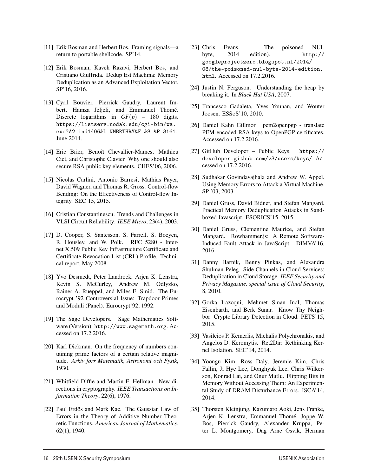- [11] Erik Bosman and Herbert Bos. Framing signals—a return to portable shellcode. SP'14.
- [12] Erik Bosman, Kaveh Razavi, Herbert Bos, and Cristiano Giuffrida. Dedup Est Machina: Memory Deduplication as an Advanced Exploitation Vector. SP'16, 2016.
- [13] Cyril Bouvier, Pierrick Gaudry, Laurent Imbert, Hamza Jeljeli, and Emmanuel Thomé. Discrete logarithms in  $GF(p)$  – 180 digits. https://listserv.nodak.edu/cgi-bin/wa. exe?A2=ind1406&L=NMBRTHRY&F=&S=&P=3161. June 2014.
- [14] Eric Brier, Benoît Chevallier-Mames, Mathieu Ciet, and Christophe Clavier. Why one should also secure RSA public key elements. CHES'06, 2006.
- [15] Nicolas Carlini, Antonio Barresi, Mathias Payer, David Wagner, and Thomas R. Gross. Control-flow Bending: On the Effectiveness of Control-flow Integrity. SEC'15, 2015.
- [16] Cristian Constantinescu. Trends and Challenges in VLSI Circuit Reliability. *IEEE Micro*, 23(4), 2003.
- [17] D. Cooper, S. Santesson, S. Farrell, S. Boeyen, R. Housley, and W. Polk. RFC 5280 - Internet X.509 Public Key Infrastructure Certificate and Certificate Revocation List (CRL) Profile. Technical report, May 2008.
- [18] Yvo Desmedt, Peter Landrock, Arjen K. Lenstra, Kevin S. McCurley, Andrew M. Odlyzko, Rainer A. Rueppel, and Miles E. Smid. The Eurocrypt '92 Controversial Issue: Trapdoor Primes and Moduli (Panel). Eurocrypt'92, 1992.
- [19] The Sage Developers. Sage Mathematics Software (Version). http://www.sagemath.org. Accessed on 17.2.2016.
- [20] Karl Dickman. On the frequency of numbers containing prime factors of a certain relative magnitude. *Arkiv forr Matematik, Astronomi och Fysik*, 1930.
- [21] Whitfield Diffie and Martin E. Hellman. New directions in cryptography. *IEEE Transactions on Information Theory*, 22(6), 1976.
- [22] Paul Erdös and Mark Kac. The Gaussian Law of Errors in the Theory of Additive Number Theoretic Functions. *American Journal of Mathematics*, 62(1), 1940.

16

- [23] Chris Evans. The poisoned NUL byte, 2014 edition). http:// googleprojectzero.blogspot.nl/2014/ 08/the-poisoned-nul-byte-2014-edition. html. Accessed on 17.2.2016.
- [24] Justin N. Ferguson. Understanding the heap by breaking it. In *Black Hat USA*, 2007.
- [25] Francesco Gadaleta, Yves Younan, and Wouter Joosen. ESSoS'10, 2010.
- [26] Daniel Kahn Gillmor. pem2openpgp translate PEM-encoded RSA keys to OpenPGP certificates. Accessed on 17.2.2016.
- [27] GitHub Developer Public Keys. https:// developer.github.com/v3/users/keys/. Accessed on 17.2.2016.
- [28] Sudhakar Govindavajhala and Andrew W. Appel. Using Memory Errors to Attack a Virtual Machine. SP '03, 2003.
- [29] Daniel Gruss, David Bidner, and Stefan Mangard. Practical Memory Deduplication Attacks in Sandboxed Javascript. ESORICS'15. 2015.
- [30] Daniel Gruss, Clementine Maurice, and Stefan Mangard. Rowhammer.js: A Remote Software-Induced Fault Attack in JavaScript. DIMVA'16, 2016.
- [31] Danny Harnik, Benny Pinkas, and Alexandra Shulman-Peleg. Side Channels in Cloud Services: Deduplication in Cloud Storage. *IEEE Security and Privacy Magazine, special issue of Cloud Security*, 8, 2010.
- [32] Gorka Irazoqui, Mehmet Sinan IncI, Thomas Eisenbarth, and Berk Sunar. Know Thy Neighbor: Crypto Library Detection in Cloud. PETS'15, 2015.
- [33] Vasileios P. Kemerlis, Michalis Polychronakis, and Angelos D. Keromytis. Ret2Dir: Rethinking Kernel Isolation. SEC'14, 2014.
- [34] Yoongu Kim, Ross Daly, Jeremie Kim, Chris Fallin, Ji Hye Lee, Donghyuk Lee, Chris Wilkerson, Konrad Lai, and Onur Mutlu. Flipping Bits in Memory Without Accessing Them: An Experimental Study of DRAM Disturbance Errors. ISCA'14, 2014.
- [35] Thorsten Kleinjung, Kazumaro Aoki, Jens Franke, Arjen K. Lenstra, Emmanuel Thomé, Joppe W. Bos, Pierrick Gaudry, Alexander Kruppa, Peter L. Montgomery, Dag Arne Osvik, Herman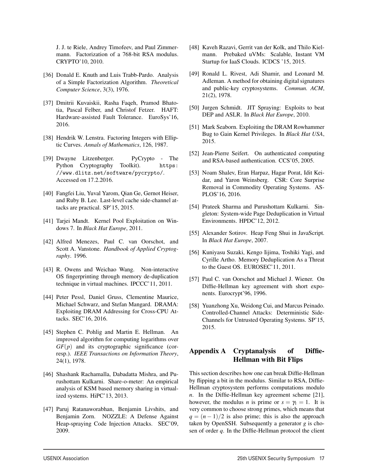J. J. te Riele, Andrey Timofeev, and Paul Zimmermann. Factorization of a 768-bit RSA modulus. CRYPTO'10, 2010.

- [36] Donald E. Knuth and Luis Trabb-Pardo. Analysis of a Simple Factorization Algorithm. *Theoretical Computer Science*, 3(3), 1976.
- [37] Dmitrii Kuvaiskii, Rasha Faqeh, Pramod Bhatotia, Pascal Felber, and Christof Fetzer. HAFT: Hardware-assisted Fault Tolerance. EuroSys'16, 2016.
- [38] Hendrik W. Lenstra. Factoring Integers with Elliptic Curves. *Annals of Mathematics*, 126, 1987.
- [39] Dwayne Litzenberger. PyCrypto The Python Cryptography Toolkit). https: //www.dlitz.net/software/pycrypto/. Accessed on 17.2.2016.
- [40] Fangfei Liu, Yuval Yarom, Qian Ge, Gernot Heiser, and Ruby B. Lee. Last-level cache side-channel attacks are practical. SP'15, 2015.
- [41] Tarjei Mandt. Kernel Pool Exploitation on Windows 7. In *Black Hat Europe*, 2011.
- [42] Alfred Menezes, Paul C. van Oorschot, and Scott A. Vanstone. *Handbook of Applied Cryptography*. 1996.
- [43] R. Owens and Weichao Wang. Non-interactive OS fingerprinting through memory de-duplication technique in virtual machines. IPCCC'11, 2011.
- [44] Peter Pessl, Daniel Gruss, Clementine Maurice, Michael Schwarz, and Stefan Mangard. DRAMA: Exploiting DRAM Addressing for Cross-CPU Attacks. SEC'16, 2016.
- [45] Stephen C. Pohlig and Martin E. Hellman. An improved algorithm for computing logarithms over  $GF(p)$  and its cryptographic significance (corresp.). *IEEE Transactions on Information Theory*, 24(1), 1978.
- [46] Shashank Rachamalla, Dabadatta Mishra, and Purushottam Kulkarni. Share-o-meter: An empirical analysis of KSM based memory sharing in virtualized systems. HiPC'13, 2013.
- [47] Paruj Ratanaworabhan, Benjamin Livshits, and Benjamin Zorn. NOZZLE: A Defense Against Heap-spraying Code Injection Attacks. SEC'09, 2009.

17

- [48] Kaveh Razavi, Gerrit van der Kolk, and Thilo Kielmann. Prebaked uVMs: Scalable, Instant VM Startup for IaaS Clouds. ICDCS '15, 2015.
- [49] Ronald L. Rivest, Adi Shamir, and Leonard M. Adleman. A method for obtaining digital signatures and public-key cryptosystems. *Commun. ACM*, 21(2), 1978.
- [50] Jurgen Schmidt. JIT Spraying: Exploits to beat DEP and ASLR. In *Black Hat Europe*, 2010.
- [51] Mark Seaborn. Exploiting the DRAM Rowhammer Bug to Gain Kernel Privileges. In *Black Hat USA*, 2015.
- [52] Jean-Pierre Seifert. On authenticated computing and RSA-based authentication. CCS'05, 2005.
- [53] Noam Shalev, Eran Harpaz, Hagar Porat, Idit Keidar, and Yaron Weinsberg. CSR: Core Surprise Removal in Commodity Operating Systems. AS-PLOS'16, 2016.
- [54] Prateek Sharma and Purushottam Kulkarni. Singleton: System-wide Page Deduplication in Virtual Environments. HPDC'12, 2012.
- [55] Alexander Sotirov. Heap Feng Shui in JavaScript. In *Black Hat Europe*, 2007.
- [56] Kuniyasu Suzaki, Kengo Iijima, Toshiki Yagi, and Cyrille Artho. Memory Deduplication As a Threat to the Guest OS. EUROSEC'11, 2011.
- [57] Paul C. van Oorschot and Michael J. Wiener. On Diffie-Hellman key agreement with short exponents. Eurocrypt'96, 1996.
- [58] Yuanzhong Xu, Weidong Cui, and Marcus Peinado. Controlled-Channel Attacks: Deterministic Side-Channels for Untrusted Operating Systems. SP'15, 2015.

# Appendix A Cryptanalysis of Diffie-Hellman with Bit Flips

This section describes how one can break Diffie-Hellman by flipping a bit in the modulus. Similar to RSA, Diffie-Hellman cryptosystem performs computations modulo *n*. In the Diffie-Hellman key agreement scheme [21], however, the modulus *n* is prime or  $s = \gamma_1 = 1$ . It is very common to choose strong primes, which means that  $q = (n-1)/2$  is also prime; this is also the approach taken by OpenSSH. Subsequently a generator *g* is chosen of order *q*. In the Diffie-Hellman protocol the client